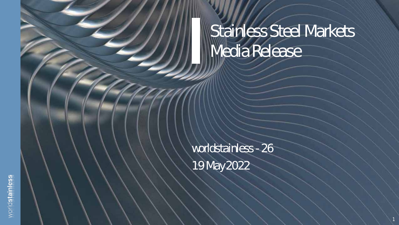## Stainless Steel Markets Media Release

1

worldstainless - 26 19 May 2022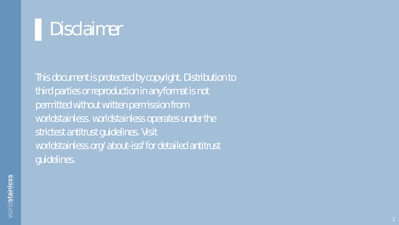

This document is protected by copyright. Distribution to third parties or reproduction in any format is not permitted without written permission from worldstainless. worldstainless operates under the strictest antitrust guidelines. Visit worldstainless.org/about-issf for detailed antitrust guidelines.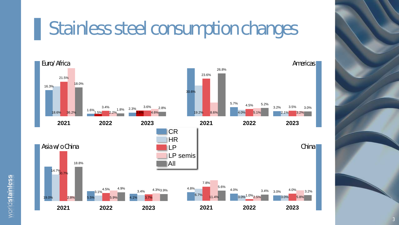## ▌Stainless steel consumption changes

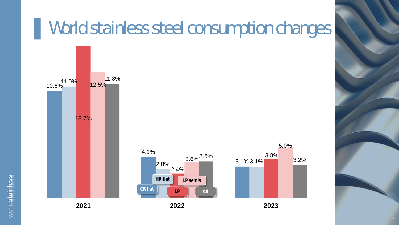#### ▌World stainless steel consumption changes





worldstainless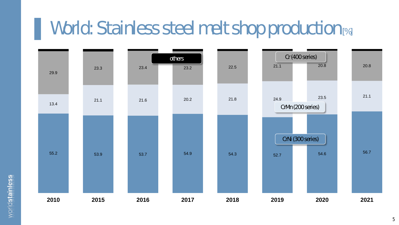### World: Stainless steel melt shop production [%]